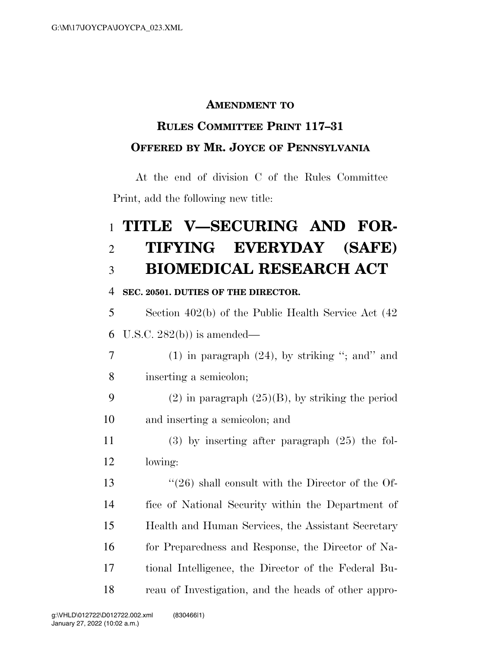### **AMENDMENT TO**

## **RULES COMMITTEE PRINT 117–31 OFFERED BY MR. JOYCE OF PENNSYLVANIA**

At the end of division C of the Rules Committee Print, add the following new title:

# **TITLE V—SECURING AND FOR- TIFYING EVERYDAY (SAFE) BIOMEDICAL RESEARCH ACT**

#### **SEC. 20501. DUTIES OF THE DIRECTOR.**

 Section 402(b) of the Public Health Service Act (42 U.S.C. 282(b)) is amended—

7 (1) in paragraph  $(24)$ , by striking "; and" and inserting a semicolon;

9 (2) in paragraph  $(25)(B)$ , by striking the period and inserting a semicolon; and

 (3) by inserting after paragraph (25) the fol-lowing:

 ''(26) shall consult with the Director of the Of- fice of National Security within the Department of Health and Human Services, the Assistant Secretary for Preparedness and Response, the Director of Na- tional Intelligence, the Director of the Federal Bu-reau of Investigation, and the heads of other appro